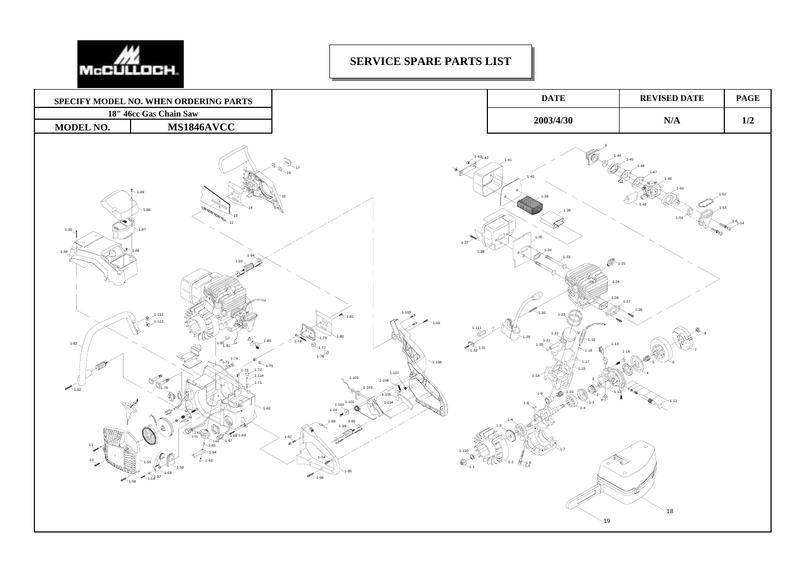

## **SERVICE SPARE PARTS LIST**

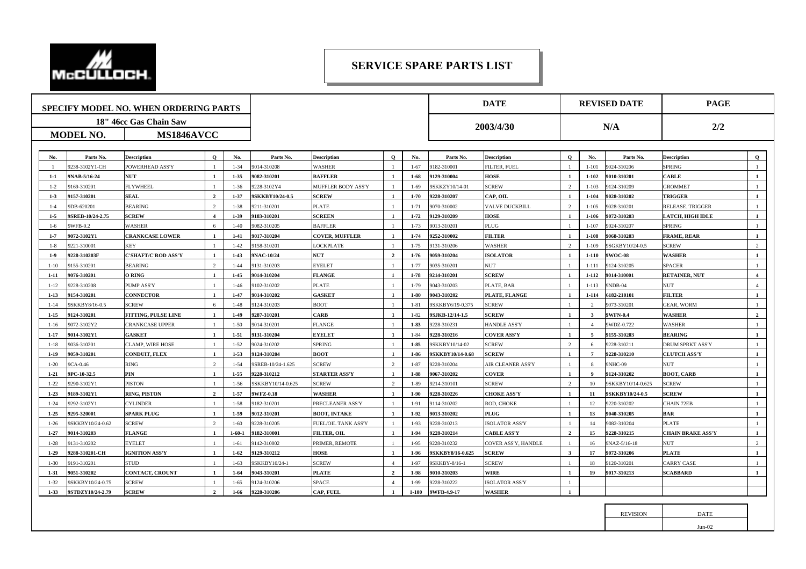

## **SERVICE SPARE PARTS LIST**

| SPECIFY MODEL NO. WHEN ORDERING PARTS |                  |                         |                         |              |                   |                            |                | <b>DATE</b> |                 | <b>REVISED DATE</b>   |                |                | <b>PAGE</b>       |                          |                        |
|---------------------------------------|------------------|-------------------------|-------------------------|--------------|-------------------|----------------------------|----------------|-------------|-----------------|-----------------------|----------------|----------------|-------------------|--------------------------|------------------------|
|                                       |                  | 18" 46cc Gas Chain Saw  |                         |              |                   |                            |                |             |                 |                       |                |                |                   |                          |                        |
| MS1846AVCC<br><b>MODEL NO.</b>        |                  |                         |                         |              |                   |                            | 2003/4/30      |             | N/A             |                       |                | 2/2            |                   |                          |                        |
|                                       |                  |                         |                         |              |                   |                            |                |             |                 |                       |                |                |                   |                          |                        |
| No.                                   | Parts No.        | <b>Description</b>      | $\mathbf{o}$            | No.          | Parts No.         | <b>Description</b>         | $\mathbf{o}$   | No.         | Parts No.       | <b>Description</b>    | $\mathbf{o}$   | No.            | Parts No.         | <b>Description</b>       | $\mathbf 0$            |
|                                       | 9238-3102Y1-CH   | <b>POWERHEAD ASS'Y</b>  | $\overline{1}$          | $1 - 34$     | 9014-310208       | <b>WASHER</b>              | $\overline{1}$ | $1 - 67$    | 182-310001      | <b>FILTER, FUEL</b>   |                | $1 - 101$      | 9024-310206       | <b>SPRING</b>            |                        |
| $1-1$                                 | 9NAB-5/16-24     | <b>NUT</b>              | $\overline{\mathbf{1}}$ | $1 - 35$     | 9082-310201       | <b>BAFFLER</b>             | -1             | $1-68$      | 9129-310004     | <b>HOSE</b>           |                | $1 - 102$      | 9010-310201       | <b>CABLE</b>             |                        |
| $1 - 2$                               | 9169-310201      | <b>FLYWHEEL</b>         |                         | $1 - 36$     | 9228-3102Y4       | MUFFLER BODY ASS'Y         |                | $1 - 69$    | SKKZY10/14-01   | <b>SCREW</b>          | $\mathcal{L}$  | $1 - 103$      | 9124-310209       | <b>GROMMET</b>           |                        |
| $1-3$                                 | 9157-310201      | <b>SEAL</b>             | $\overline{2}$          | $1 - 37$     | 9SKKBY10/24-0.5   | <b>SCREW</b>               | $\mathbf{1}$   | $1 - 70$    | 9228-310207     | CAP, OIL              | $\blacksquare$ | $1 - 104$      | 9028-310202       | <b>TRIGGER</b>           | <sup>1</sup>           |
| $1 - 4$                               | 9DB-620201       | <b>BEARING</b>          | $\overline{2}$          | $1 - 38$     | 211-310201        | <b>PLATE</b>               | $\overline{1}$ | $1 - 71$    | 070-310002      | VALVE DUCKBILL        | $\overline{2}$ | $1 - 105$      | 9028-310201       | RELEASE. TRIGGER         |                        |
| $1-5$                                 | 9SREB-10/24-2.75 | <b>SCREW</b>            | $\overline{4}$          | $1-39$       | 9183-310201       | <b>SCREEN</b>              | $\mathbf{1}$   | $1 - 72$    | 129-310209      | <b>HOSE</b>           | $\mathbf{1}$   | $1 - 106$      | 9072-310203       | <b>LATCH, HIGH IDLE</b>  | <sup>1</sup>           |
| $1-6$                                 | 9WFB-0.2         | <b>VASHER</b>           | 6                       | $1 - 40$     | 9082-310205       | <b>BAFFLER</b>             | $\overline{1}$ | $1 - 73$    | 013-310201      | PLUG                  |                | $1 - 107$      | 9024-310207       | <b>SPRING</b>            |                        |
| $1 - 7$                               | 9072-3102Y1      | <b>CRANKCASE LOWER</b>  | <sup>1</sup>            | $1-41$       | 9017-310204       | <b>COVER, MUFFLER</b>      | $\mathbf{1}$   | 1-74        | 252-310002      | <b>FILTER</b>         | $\mathbf{1}$   | $1 - 108$      | 9068-310203       | <b>FRAME, REAR</b>       | $\blacksquare$         |
| $1 - 8$                               | 9221-310001      | KEY                     |                         | $1-42$       | 9158-310201       | <b>LOCKPLATE</b>           | -1             | $1 - 75$    | 9131-310206     | <b>WASHER</b>         | 2              | $1 - 109$      | 9SGKBY10/24-0.5   | <b>SCREW</b>             | 2                      |
| $1-9$                                 | 9228-310203F     | "SHAFT/C'ROD ASS'Y      | $\mathbf{1}$            | $1-43$       | 9NAC-10/24        | <b>NUT</b>                 | $\overline{2}$ | $1 - 76$    | 059-310204      | <b>ISOLATOR</b>       | $\mathbf{1}$   | $1-110$        | 9WOC-08           | <b>WASHER</b>            | $\blacksquare$         |
| $1 - 10$                              | 9155-310201      | <b>BEARING</b>          | 2                       | $1 - 44$     | 9131-310203       | <b>EYELET</b>              | <sup>1</sup>   | $1 - 77$    | 9035-310201     | <b>NUT</b>            |                | $1 - 111$      | 9124-310205       | <b>SPACER</b>            |                        |
| $1-11$                                | 9076-310201      | O RING                  | $\blacksquare$          | $1-45$       | 9014-310204       | <b>FLANGE</b>              | <sup>1</sup>   | $1 - 78$    | 9214-310201     | <b>SCREW</b>          |                | $1-112$        | 9014-310001       | <b>RETAINER, NUT</b>     | $\boldsymbol{\Lambda}$ |
| $1 - 12$                              | 9228-310208      | PUMP ASS'Y              | $\overline{1}$          | $1 - 46$     | 9102-310202       | <b>PLATE</b>               | <sup>1</sup>   | $1 - 79$    | 9043-310203     | PLATE, BAR            | $\overline{1}$ | $1 - 113$      | 9NDB-04           | <b>NUT</b>               | $\overline{4}$         |
| $1 - 13$                              | 9154-310201      | <b>CONNECTOR</b>        | $\overline{1}$          | $1 - 47$     | 9014-310202       | <b>GASKET</b>              | $\blacksquare$ | $1 - 80$    | 9043-310202     | PLATE, FLANGE         | $\mathbf{1}$   | $1 - 114$      | 6182-210101       | <b>FILTER</b>            |                        |
| $1 - 14$                              | 9SKKBY8/16-0.5   | <b>SCREW</b>            | 6                       |              | 9124-310203       | <b>BOOT</b>                | $\overline{1}$ | $1 - 81$    | SKKBY6/19-0.375 | <b>SCREW</b>          |                | 2              | 9073-310201       | <b>GEAR, WORM</b>        |                        |
| $1 - 15$                              | 9124-310201      | FITTING, PULSE LINE     | <sup>1</sup>            | $1-49$       | 9287-310201       | CARB                       | <sup>1</sup>   | $1 - 82$    | SJKB-12/14-1.5  | <b>SCREW</b>          | $\mathbf{1}$   | $\mathbf{3}$   | 9WFN-0.4          | <b>WASHER</b>            | $\overline{2}$         |
| $1 - 16$                              | 9072-3102Y2      | <b>TRANKCASE UPPER</b>  |                         | $1 - 50$     | 9014-310201       | <b>FLANGE</b>              |                | $1 - 83$    | 228-310231      | <b>HANDLE ASS'Y</b>   |                | $\Delta$       | 9WDZ-0.722        | <b>WASHER</b>            |                        |
| $1 - 17$                              | 9014-3102Y1      | <b>GASKET</b>           | $\mathbf{1}$            | $1 - 51$     | 9131-310204       | <b>EYELET</b>              | $\mathbf{1}$   | $1 - 84$    | 9228-310216     | <b>COVER ASS'Y</b>    | $\mathbf{1}$   | 5              | 9155-310203       | <b>BEARING</b>           |                        |
| $1 - 18$                              | 9036-310201      | <b>CLAMP, WIRE HOSE</b> |                         | $1 - 52$     | 9024-310202       | <b>SPRING</b>              | $\overline{1}$ | $1 - 85$    | SKKBY10/14-02   | <b>SCREW</b>          | $\overline{2}$ |                | 9228-310211       | <b>DRUM SPRKT ASS'Y</b>  |                        |
| $1 - 19$                              | 9059-310201      | CONDUIT, FLEX           | $\mathbf{1}$            | $1 - 53$     | 9124-310204       | <b>BOOT</b>                | $\mathbf{1}$   | $1 - 86$    | SKKBY10/14-0.68 | <b>SCREW</b>          | $\mathbf{1}$   | $\overline{7}$ | 9228-310210       | <b>CLUTCH ASS'Y</b>      | $\mathbf{1}$           |
| $1 - 20$                              | 9CA-0.46         | RING                    | 2                       | $1 - 54$     | OSREB-10/24-1.625 | <b>SCREW</b>               | $\overline{2}$ | $1 - 87$    | 228-310204      | AIR CLEANER ASS'Y     |                | 8              | 9NHC-09           | <b>NUT</b>               |                        |
| $1 - 21$                              | 9PC-10-32.5      | PIN                     | $\mathbf{1}$            | $1 - 55$     | 9228-310212       | <b>STARTER ASS'Y</b>       | <sup>1</sup>   | 1-88        | 9067-310202     | <b>COVER</b>          | $\mathbf{1}$   | 9              | 9124-310202       | <b>BOOT, CARB</b>        | $\blacksquare$         |
| $1 - 22$                              | 9290-3102Y1      | <b>PISTON</b>           |                         | $1 - 56$     | 9SKKBY10/14-0.625 | <b>SCREW</b>               | 2              | $1 - 89$    | 9214-310101     | <b>SCREW</b>          | 2              | 10             | 9SKKBY10/14-0.625 | <b>SCREW</b>             |                        |
| $1 - 23$                              | 9189-3102Y1      | <b>RING, PISTON</b>     | $\overline{2}$          | $1 - 57$     | 9WFZ-0.18         | WASHER                     | $\mathbf{1}$   | $1-90$      | 228-310226      | <b>CHOKE ASS'Y</b>    | $\mathbf{1}$   | 11             | 9SKKBY10/24-0.5   | <b>SCREW</b>             |                        |
| $1 - 24$                              | 9292-3102Y1      | <b>TYLINDER</b>         | -1                      | $1 - 58$     | 9182-310201       | PRECLEANER ASS'Y           | $\overline{1}$ | $1 - 91$    | 9114-310202     | ROD, CHOKE            | $\overline{1}$ | 12             | 9220-310202       | CHAIN 72EB               |                        |
| $1 - 25$                              | 9295-320001      | <b>SPARK PLUG</b>       | $\blacksquare$          | $1-59$       | 9012-310201       | <b>BOOT, INTAKE</b>        | $\mathbf{1}$   | $1-92$      | 013-310202      | <b>PLUG</b>           |                | 13             | 9040-310205       | <b>BAR</b>               |                        |
| $1 - 26$                              | 9SKKBY10/24-0.62 | <b>SCREW</b>            | 2                       | $1 - 60$     | 9228-310205       | <b>FUEL/OIL TANK ASS'Y</b> | -1             | $1 - 93$    | 228-310213      | <b>ISOLATOR ASS'Y</b> |                | 14             | 9082-310204       | <b>PLATE</b>             |                        |
| $1 - 27$                              | 9014-310203      | <b>FLANGE</b>           | $\overline{1}$          | $1 - 60 - 1$ | 9182-310001       | <b>FILTER, OIL</b>         | $\mathbf{1}$   | $1-94$      | 9228-310214     | <b>CABLE ASS'Y</b>    | $\overline{2}$ | 15             | 9228-310215       | <b>CHAIN BRAKE ASS'Y</b> | $\blacksquare$         |
| $1-28$                                | 9131-310202      | <b>EYELET</b>           |                         | $1 - 61$     | 142-310002        | PRIMER, REMOTE             | $\overline{1}$ | $1 - 95$    | 228-310232      | COVER ASS'Y, HANDLE   |                | 16             | 9NAZ-5/16-18      | <b>NUT</b>               | $\gamma$               |
| $1 - 29$                              | 9288-310201-CH   | <b>IGNITION ASS'Y</b>   | $\mathbf{1}$            | $1 - 62$     | 9129-310212       | <b>HOSE</b>                | <b>1</b>       | $1-96$      | SKKBY8/16-0.625 | <b>SCREW</b>          | $\mathbf{3}$   | 17             | 9072-310206       | <b>PLATE</b>             | $\blacksquare$         |
| $1 - 30$                              | 9191-310201      | <b>STUD</b>             |                         | $1 - 63$     | 9SKKBY10/24-1     | <b>SCREW</b>               | $\Delta$       | $1 - 97$    | SKKBY-8/16-1    | <b>SCREW</b>          |                | 18             | 9120-310201       | CARRY CASE               |                        |
| $1 - 31$                              | 9051-310202      | CONTACT, CROUNT         | $\mathbf{1}$            | $1 - 64$     | 9043-310201       | <b>PLATE</b>               | $\overline{2}$ | 1-98        | 9010-310203     | <b>WIRE</b>           | $\mathbf{1}$   | 19             | 9017-310213       | <b>SCABBARD</b>          | $\mathbf{1}$           |
| $1 - 32$                              | 9SKKBY10/24-0.75 | <b>SCREW</b>            |                         | $1 - 65$     | 9124-310206       | <b>SPACE</b>               | $\overline{4}$ | 1-99        | 228-310222      | <b>ISOLATOR ASS'Y</b> | $\mathbf{1}$   |                |                   |                          |                        |
| $1 - 33$                              | 9STDZY10/24-2.79 | <b>SCREW</b>            | $\overline{2}$          | $1 - 66$     | 9228-310206       | CAP, FUEL                  | $\mathbf{1}$   | $1 - 100$   | 9WFB-4.9-17     | <b>WASHER</b>         | $\mathbf{1}$   |                |                   |                          |                        |
|                                       |                  |                         |                         |              |                   |                            |                |             |                 |                       |                |                |                   |                          |                        |

| <b>REVISION</b> | <b>DATE</b> |  |
|-----------------|-------------|--|
|                 | $fun-02$    |  |